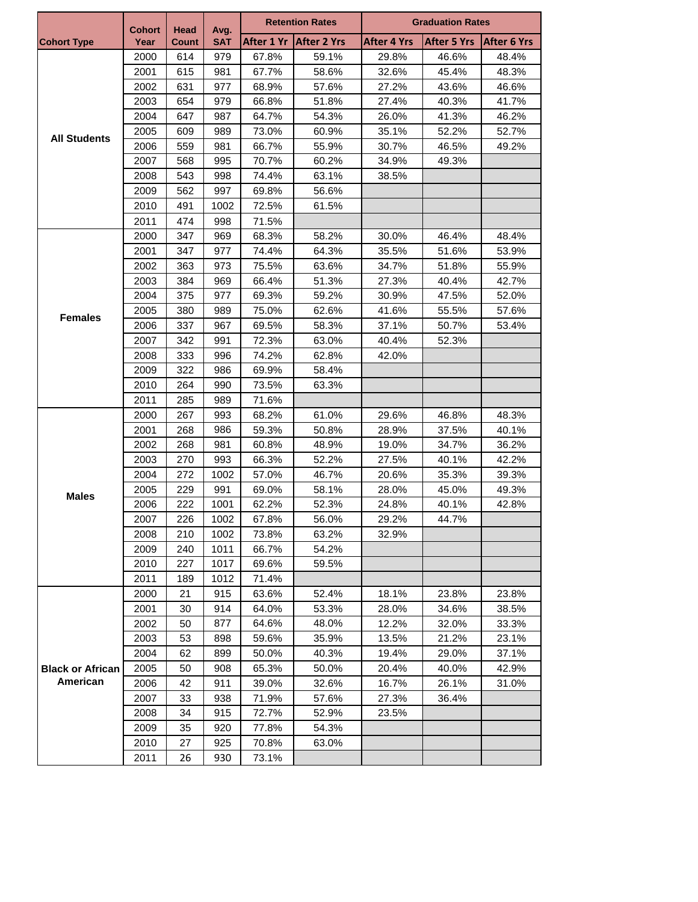|                         | <b>Cohort</b> | Head<br><b>Count</b> | Avg.<br><b>SAT</b> | <b>Retention Rates</b> |                    | <b>Graduation Rates</b> |                    |                    |
|-------------------------|---------------|----------------------|--------------------|------------------------|--------------------|-------------------------|--------------------|--------------------|
| <b>Cohort Type</b>      | Year          |                      |                    | After 1 Yr             | <b>After 2 Yrs</b> | After 4 Yrs             | <b>After 5 Yrs</b> | <b>After 6 Yrs</b> |
|                         | 2000          | 614                  | 979                | 67.8%                  | 59.1%              | 29.8%                   | 46.6%              | 48.4%              |
| <b>All Students</b>     | 2001          | 615                  | 981                | 67.7%                  | 58.6%              | 32.6%                   | 45.4%              | 48.3%              |
|                         | 2002          | 631                  | 977                | 68.9%                  | 57.6%              | 27.2%                   | 43.6%              | 46.6%              |
|                         | 2003          | 654                  | 979                | 66.8%                  | 51.8%              | 27.4%                   | 40.3%              | 41.7%              |
|                         | 2004          | 647                  | 987                | 64.7%                  | 54.3%              | 26.0%                   | 41.3%              | 46.2%              |
|                         | 2005          | 609                  | 989                | 73.0%                  | 60.9%              | 35.1%                   | 52.2%              | 52.7%              |
|                         | 2006          | 559                  | 981                | 66.7%                  | 55.9%              | 30.7%                   | 46.5%              | 49.2%              |
|                         | 2007          | 568                  | 995                | 70.7%                  | 60.2%              | 34.9%                   | 49.3%              |                    |
|                         | 2008          | 543                  | 998                | 74.4%                  | 63.1%              | 38.5%                   |                    |                    |
|                         | 2009          | 562                  | 997                | 69.8%                  | 56.6%              |                         |                    |                    |
|                         | 2010          | 491                  | 1002               | 72.5%                  | 61.5%              |                         |                    |                    |
|                         | 2011          | 474                  | 998                | 71.5%                  |                    |                         |                    |                    |
|                         | 2000          | 347                  | 969                | 68.3%                  | 58.2%              | 30.0%                   | 46.4%              | 48.4%              |
|                         | 2001          | 347                  | 977                | 74.4%                  | 64.3%              | 35.5%                   | 51.6%              | 53.9%              |
|                         | 2002          | 363                  | 973                | 75.5%                  | 63.6%              | 34.7%                   | 51.8%              | 55.9%              |
|                         | 2003          | 384                  | 969                | 66.4%                  | 51.3%              | 27.3%                   | 40.4%              | 42.7%              |
|                         | 2004          | 375                  | 977                | 69.3%                  | 59.2%              | 30.9%                   | 47.5%              | 52.0%              |
| <b>Females</b>          | 2005          | 380                  | 989                | 75.0%                  | 62.6%              | 41.6%                   | 55.5%              | 57.6%              |
|                         | 2006          | 337                  | 967                | 69.5%                  | 58.3%              | 37.1%                   | 50.7%              | 53.4%              |
|                         | 2007          | 342                  | 991                | 72.3%                  | 63.0%              | 40.4%                   | 52.3%              |                    |
|                         | 2008          | 333                  | 996                | 74.2%                  | 62.8%              | 42.0%                   |                    |                    |
|                         | 2009          | 322                  | 986                | 69.9%                  | 58.4%              |                         |                    |                    |
|                         | 2010          | 264                  | 990                | 73.5%                  | 63.3%              |                         |                    |                    |
|                         | 2011          | 285                  | 989                | 71.6%                  |                    |                         |                    |                    |
|                         | 2000          | 267                  | 993                | 68.2%                  | 61.0%              | 29.6%                   | 46.8%              | 48.3%              |
|                         | 2001          | 268                  | 986                | 59.3%                  | 50.8%              | 28.9%                   | 37.5%              | 40.1%              |
|                         | 2002          | 268                  | 981                | 60.8%                  | 48.9%              | 19.0%                   | 34.7%              | 36.2%              |
|                         | 2003          | 270                  | 993                | 66.3%                  | 52.2%              | 27.5%                   | 40.1%              | 42.2%              |
|                         | 2004          | 272                  | 1002               | 57.0%                  | 46.7%              | 20.6%                   | 35.3%              | 39.3%              |
| <b>Males</b>            | 2005          | 229                  | 991                | 69.0%                  | 58.1%              | 28.0%                   | 45.0%              | 49.3%              |
|                         | 2006          | 222                  | 1001               | 62.2%                  | 52.3%              | 24.8%                   | 40.1%              | 42.8%              |
|                         | 2007          | 226                  | 1002               | 67.8%                  | 56.0%              | 29.2%                   | 44.7%              |                    |
|                         | 2008          | 210                  | 1002               | 73.8%                  | 63.2%              | 32.9%                   |                    |                    |
|                         | 2009          | 240                  | 1011               | 66.7%                  | 54.2%              |                         |                    |                    |
|                         | 2010          | 227                  | 1017               | 69.6%                  | 59.5%              |                         |                    |                    |
|                         | 2011          | 189                  | 1012               | 71.4%                  |                    |                         |                    |                    |
|                         | 2000          | 21                   | 915                | 63.6%                  | 52.4%              | 18.1%                   | 23.8%              | 23.8%              |
|                         | 2001          | 30                   | 914                | 64.0%                  | 53.3%              | 28.0%                   | 34.6%              | 38.5%              |
|                         | 2002          | 50                   | 877                | 64.6%                  | 48.0%              | 12.2%                   | 32.0%              | 33.3%              |
|                         | 2003          | 53                   | 898                | 59.6%                  | 35.9%              | 13.5%                   | 21.2%              | 23.1%              |
|                         | 2004          | 62                   | 899                | 50.0%                  | 40.3%              | 19.4%                   | 29.0%              | 37.1%              |
| <b>Black or African</b> | 2005          | 50                   | 908                | 65.3%                  | 50.0%              | 20.4%                   | 40.0%              | 42.9%              |
| American                | 2006          | 42                   | 911                | 39.0%                  | 32.6%              | 16.7%                   | 26.1%              | 31.0%              |
|                         | 2007          | 33                   | 938                | 71.9%                  | 57.6%              | 27.3%                   | 36.4%              |                    |
|                         | 2008          | 34                   | 915                | 72.7%                  | 52.9%              | 23.5%                   |                    |                    |
|                         | 2009          | 35                   | 920                | 77.8%                  | 54.3%              |                         |                    |                    |
|                         | 2010          | 27                   | 925                | 70.8%                  | 63.0%              |                         |                    |                    |
|                         | 2011          | 26                   | 930                | 73.1%                  |                    |                         |                    |                    |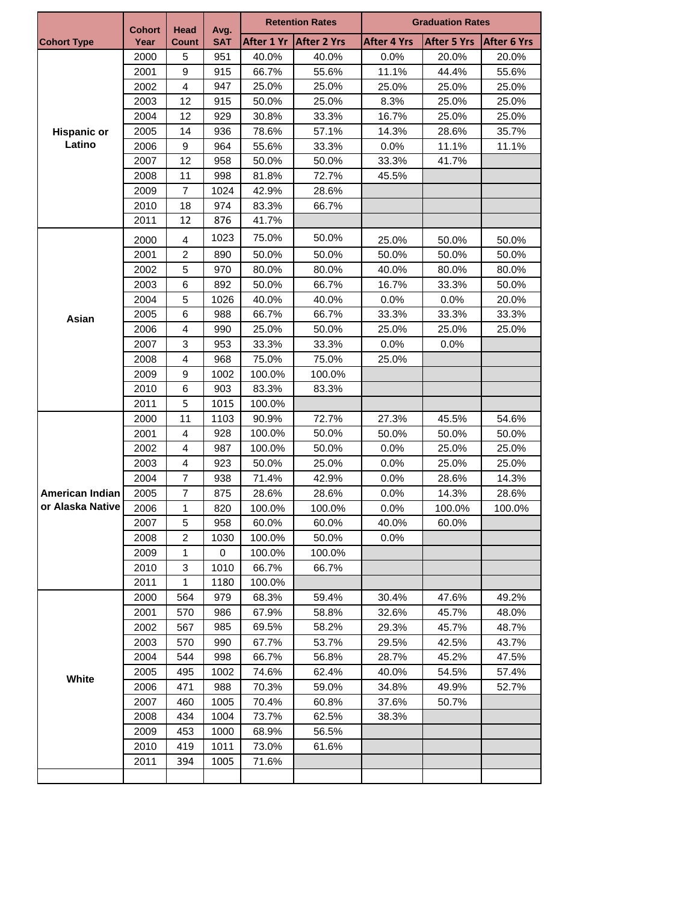|                              | <b>Cohort</b> | Head           | Avg.       | <b>Retention Rates</b> |                    | <b>Graduation Rates</b> |                    |                    |  |
|------------------------------|---------------|----------------|------------|------------------------|--------------------|-------------------------|--------------------|--------------------|--|
| <b>Cohort Type</b>           | Year          | Count          | <b>SAT</b> | After 1 Yr             | <b>After 2 Yrs</b> | <b>After 4 Yrs</b>      | <b>After 5 Yrs</b> | <b>After 6 Yrs</b> |  |
|                              | 2000          | 5              | 951        | 40.0%                  | 40.0%              | 0.0%                    | 20.0%              | 20.0%              |  |
|                              | 2001          | 9              | 915        | 66.7%                  | 55.6%              | 11.1%                   | 44.4%              | 55.6%              |  |
|                              | 2002          | $\overline{4}$ | 947        | 25.0%                  | 25.0%              | 25.0%                   | 25.0%              | 25.0%              |  |
|                              | 2003          | 12             | 915        | 50.0%                  | 25.0%              | 8.3%                    | 25.0%              | 25.0%              |  |
|                              | 2004          | 12             | 929        | 30.8%                  | 33.3%              | 16.7%                   | 25.0%              | 25.0%              |  |
| <b>Hispanic or</b><br>Latino | 2005          | 14             | 936        | 78.6%                  | 57.1%              | 14.3%                   | 28.6%              | 35.7%              |  |
|                              | 2006          | 9              | 964        | 55.6%                  | 33.3%              | 0.0%                    | 11.1%              | 11.1%              |  |
|                              | 2007          | 12             | 958        | 50.0%                  | 50.0%              | 33.3%                   | 41.7%              |                    |  |
|                              | 2008          | 11             | 998        | 81.8%                  | 72.7%              | 45.5%                   |                    |                    |  |
|                              | 2009          | $\overline{7}$ | 1024       | 42.9%                  | 28.6%              |                         |                    |                    |  |
|                              | 2010          | 18             | 974        | 83.3%                  | 66.7%              |                         |                    |                    |  |
|                              | 2011          | 12             | 876        | 41.7%                  |                    |                         |                    |                    |  |
|                              | 2000          | 4              | 1023       | 75.0%                  | 50.0%              | 25.0%                   | 50.0%              | 50.0%              |  |
|                              | 2001          | $\overline{c}$ | 890        | 50.0%                  | 50.0%              | 50.0%                   | 50.0%              | 50.0%              |  |
|                              | 2002          | 5              | 970        | 80.0%                  | 80.0%              | 40.0%                   | 80.0%              | 80.0%              |  |
|                              | 2003          | 6              | 892        | 50.0%                  | 66.7%              | 16.7%                   | 33.3%              | 50.0%              |  |
|                              | 2004          | 5              | 1026       | 40.0%                  | 40.0%              | 0.0%                    | 0.0%               | 20.0%              |  |
|                              | 2005          | 6              | 988        | 66.7%                  | 66.7%              | 33.3%                   | 33.3%              | 33.3%              |  |
| Asian                        | 2006          | $\overline{4}$ | 990        | 25.0%                  | 50.0%              | 25.0%                   | 25.0%              | 25.0%              |  |
|                              | 2007          | 3              | 953        | 33.3%                  | 33.3%              | 0.0%                    | 0.0%               |                    |  |
|                              | 2008          | $\overline{4}$ | 968        | 75.0%                  | 75.0%              | 25.0%                   |                    |                    |  |
|                              | 2009          | 9              | 1002       | 100.0%                 | 100.0%             |                         |                    |                    |  |
|                              | 2010          | 6              | 903        | 83.3%                  | 83.3%              |                         |                    |                    |  |
|                              | 2011          | 5              | 1015       | 100.0%                 |                    |                         |                    |                    |  |
|                              | 2000          | 11             | 1103       | 90.9%                  | 72.7%              | 27.3%                   | 45.5%              | 54.6%              |  |
|                              | 2001          | $\overline{4}$ | 928        | 100.0%                 | 50.0%              | 50.0%                   | 50.0%              | 50.0%              |  |
|                              | 2002          | $\overline{4}$ | 987        | 100.0%                 | 50.0%              | 0.0%                    | 25.0%              | 25.0%              |  |
|                              | 2003          | $\overline{4}$ | 923        | 50.0%                  | 25.0%              | 0.0%                    | 25.0%              | 25.0%              |  |
|                              | 2004          | $\overline{7}$ | 938        | 71.4%                  | 42.9%              | 0.0%                    | 28.6%              | 14.3%              |  |
| American Indian              | 2005          | $\overline{7}$ | 875        | 28.6%                  | 28.6%              | 0.0%                    | 14.3%              | 28.6%              |  |
| or Alaska Native             | 2006          | 1              | 820        | 100.0%                 | 100.0%             | 0.0%                    | 100.0%             | 100.0%             |  |
|                              | 2007          | 5              | 958        | 60.0%                  | 60.0%              | 40.0%                   | 60.0%              |                    |  |
|                              | 2008          | 2              | 1030       | 100.0%                 | 50.0%              | 0.0%                    |                    |                    |  |
|                              | 2009          | 1              | 0          | 100.0%                 | 100.0%             |                         |                    |                    |  |
|                              | 2010          | 3              | 1010       | 66.7%                  | 66.7%              |                         |                    |                    |  |
|                              | 2011          | 1              | 1180       | 100.0%                 |                    |                         |                    |                    |  |
|                              | 2000          | 564            | 979        | 68.3%                  | 59.4%              | 30.4%                   | 47.6%              | 49.2%              |  |
|                              | 2001          | 570            | 986        | 67.9%                  | 58.8%              | 32.6%                   | 45.7%              | 48.0%              |  |
|                              | 2002          | 567            | 985        | 69.5%                  | 58.2%              | 29.3%                   | 45.7%              | 48.7%              |  |
|                              | 2003          | 570            | 990        | 67.7%                  | 53.7%              | 29.5%                   | 42.5%              | 43.7%              |  |
|                              | 2004          | 544            | 998        | 66.7%                  | 56.8%              | 28.7%                   | 45.2%              | 47.5%              |  |
|                              | 2005          | 495            | 1002       | 74.6%                  | 62.4%              | 40.0%                   | 54.5%              | 57.4%              |  |
| White                        | 2006          | 471            | 988        | 70.3%                  | 59.0%              | 34.8%                   | 49.9%              | 52.7%              |  |
|                              | 2007          | 460            | 1005       | 70.4%                  | 60.8%              | 37.6%                   | 50.7%              |                    |  |
|                              | 2008          | 434            | 1004       | 73.7%                  | 62.5%              | 38.3%                   |                    |                    |  |
|                              | 2009          | 453            | 1000       | 68.9%                  | 56.5%              |                         |                    |                    |  |
|                              | 2010          | 419            | 1011       | 73.0%                  | 61.6%              |                         |                    |                    |  |
|                              | 2011          | 394            | 1005       | 71.6%                  |                    |                         |                    |                    |  |
|                              |               |                |            |                        |                    |                         |                    |                    |  |